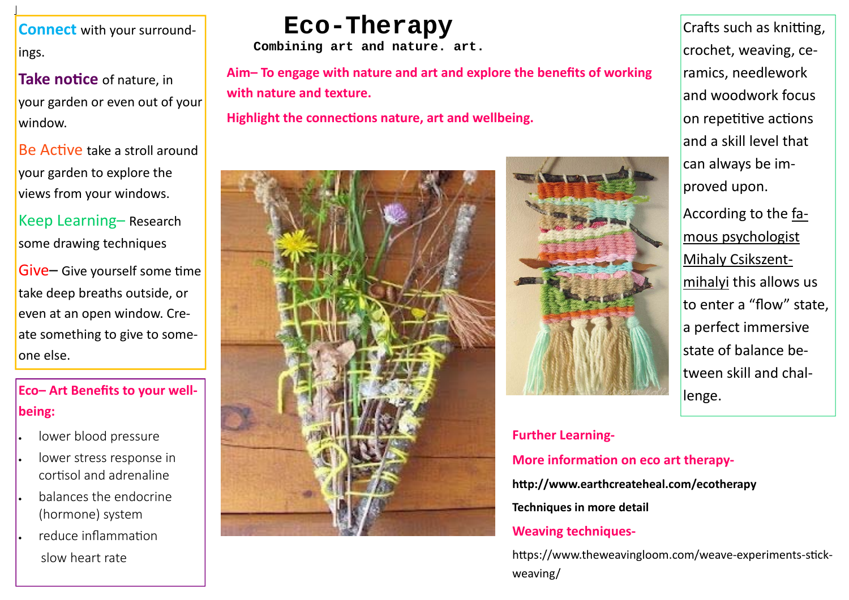## **Eco-Therapy**

## **Eco– Art Benefits to your well‐ being:**

- $\bullet$ lower blood pressure
- $\bullet$  lower stress response in cortisol and adrenaline
- $\bullet$  balances the endocrine (hormone) system
- $\bullet$  reduce inflammaƟonslow heart rate

Be Active take a stroll around your garden to explore the views from your windows.

> **Further Learning‐ More informaƟon on eco art therapy‐ hƩp://www.earthcreateheal.com/ecotherapy Techniques in more detail Weaving techniques‐**  https://www.theweavingloom.com/weave-experiments-stickweaving/



 $\mathsf{Give}\mathsf{-}$  Give yourself some time take deep breaths outside, or even at an open window. Cre‐ ate something to give to some‐ one else.

**Connect** with your surround‐ ings.

**Take noƟce** of nature, in your garden or even out of your window.

Crafts such as knitting, crochet, weaving, ce‐ ramics, needlework and woodwork focus on repetitive actions and <sup>a</sup> skill level that can always be im‐ proved upon.

Keep Learning– Research some drawing techniques

According to the famous psychologist Mihaly Csikszent‐ mihalyi this allows us to enter <sup>a</sup> "flow" state, a perfect immersive state of balance be‐ tween skill and chal‐ lenge.

**Combining art and nature. art.** 

**Aim– To engage with nature and art and explore the benefits of working with nature and texture.**

**Highlight the connections nature, art and wellbeing.**